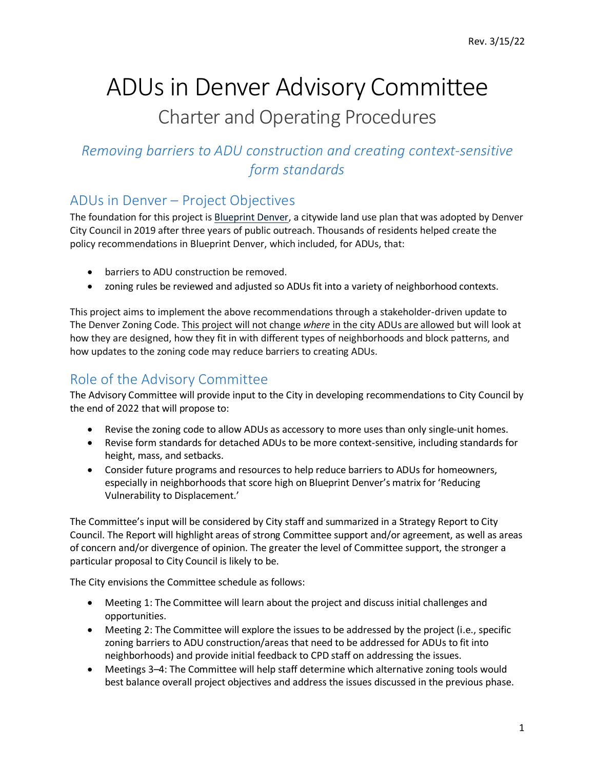# ADUs in Denver Advisory Committee Charter and Operating Procedures

# *Removing barriers to ADU construction and creating context-sensitive form standards*

# ADUs in Denver – Project Objectives

The foundation for this project is [Blueprint Denver,](https://www.denvergov.org/Government/Agencies-Departments-Offices/Community-Planning-and-Development/Blueprint-Denver) a citywide land use plan that was adopted by Denver City Council in 2019 after three years of public outreach. Thousands of residents helped create the policy recommendations in Blueprint Denver, which included, for ADUs, that:

- barriers to ADU construction be removed.
- zoning rules be reviewed and adjusted so ADUs fit into a variety of neighborhood contexts.

This project aims to implement the above recommendations through a stakeholder-driven update to The Denver Zoning Code. This project will not change *where* in the city ADUs are allowed but will look at how they are designed, how they fit in with different types of neighborhoods and block patterns, and how updates to the zoning code may reduce barriers to creating ADUs.

# Role of the Advisory Committee

The Advisory Committee will provide input to the City in developing recommendations to City Council by the end of 2022 that will propose to:

- Revise the zoning code to allow ADUs as accessory to more uses than only single-unit homes.
- Revise form standards for detached ADUs to be more context-sensitive, including standards for height, mass, and setbacks.
- Consider future programs and resources to help reduce barriers to ADUs for homeowners, especially in neighborhoods that score high on Blueprint Denver's matrix for 'Reducing Vulnerability to Displacement.'

The Committee's input will be considered by City staff and summarized in a Strategy Report to City Council. The Report will highlight areas of strong Committee support and/or agreement, as well as areas of concern and/or divergence of opinion. The greater the level of Committee support, the stronger a particular proposal to City Council is likely to be.

The City envisions the Committee schedule as follows:

- Meeting 1: The Committee will learn about the project and discuss initial challenges and opportunities.
- Meeting 2: The Committee will explore the issues to be addressed by the project (i.e., specific zoning barriers to ADU construction/areas that need to be addressed for ADUs to fit into neighborhoods) and provide initial feedback to CPD staff on addressing the issues.
- Meetings 3–4: The Committee will help staff determine which alternative zoning tools would best balance overall project objectives and address the issues discussed in the previous phase.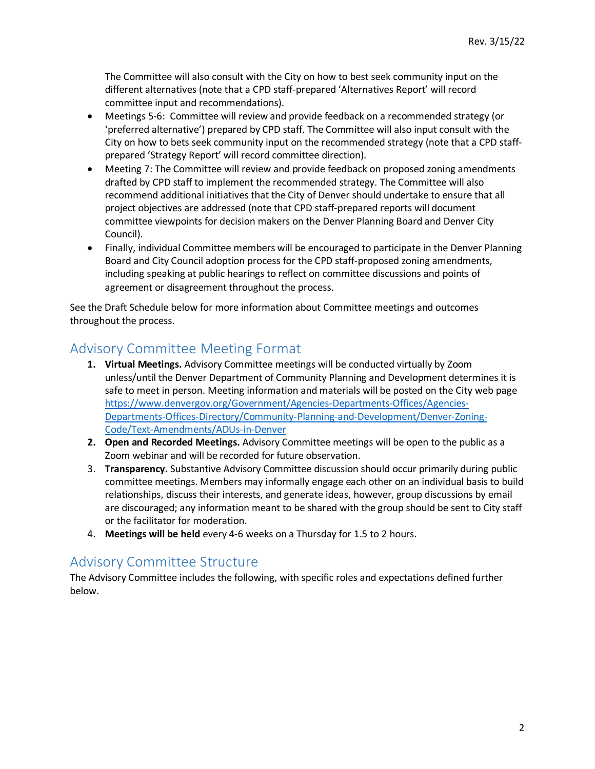The Committee will also consult with the City on how to best seek community input on the different alternatives (note that a CPD staff-prepared 'Alternatives Report' will record committee input and recommendations).

- Meetings 5-6: Committee will review and provide feedback on a recommended strategy (or 'preferred alternative') prepared by CPD staff. The Committee will also input consult with the City on how to bets seek community input on the recommended strategy (note that a CPD staffprepared 'Strategy Report' will record committee direction).
- Meeting 7: The Committee will review and provide feedback on proposed zoning amendments drafted by CPD staff to implement the recommended strategy. The Committee will also recommend additional initiatives that the City of Denver should undertake to ensure that all project objectives are addressed (note that CPD staff-prepared reports will document committee viewpoints for decision makers on the Denver Planning Board and Denver City Council).
- Finally, individual Committee members will be encouraged to participate in the Denver Planning Board and City Council adoption process for the CPD staff-proposed zoning amendments, including speaking at public hearings to reflect on committee discussions and points of agreement or disagreement throughout the process.

See the Draft Schedule below for more information about Committee meetings and outcomes throughout the process.

### Advisory Committee Meeting Format

- **1. Virtual Meetings.** Advisory Committee meetings will be conducted virtually by Zoom unless/until the Denver Department of Community Planning and Development determines it is safe to meet in person. Meeting information and materials will be posted on the City web page [https://www.denvergov.org/Government/Agencies-Departments-Offices/Agencies-](https://www.denvergov.org/Government/Agencies-Departments-Offices/Agencies-Departments-Offices-Directory/Community-Planning-and-Development/Denver-Zoning-Code/Text-Amendments/ADUs-in-Denver)[Departments-Offices-Directory/Community-Planning-and-Development/Denver-Zoning-](https://www.denvergov.org/Government/Agencies-Departments-Offices/Agencies-Departments-Offices-Directory/Community-Planning-and-Development/Denver-Zoning-Code/Text-Amendments/ADUs-in-Denver)[Code/Text-Amendments/ADUs-in-Denver](https://www.denvergov.org/Government/Agencies-Departments-Offices/Agencies-Departments-Offices-Directory/Community-Planning-and-Development/Denver-Zoning-Code/Text-Amendments/ADUs-in-Denver)
- **2. Open and Recorded Meetings.** Advisory Committee meetings will be open to the public as a Zoom webinar and will be recorded for future observation.
- 3. **Transparency.** Substantive Advisory Committee discussion should occur primarily during public committee meetings. Members may informally engage each other on an individual basis to build relationships, discuss their interests, and generate ideas, however, group discussions by email are discouraged; any information meant to be shared with the group should be sent to City staff or the facilitator for moderation.
- 4. **Meetings will be held** every 4-6 weeks on a Thursday for 1.5 to 2 hours.

### Advisory Committee Structure

The Advisory Committee includes the following, with specific roles and expectations defined further below.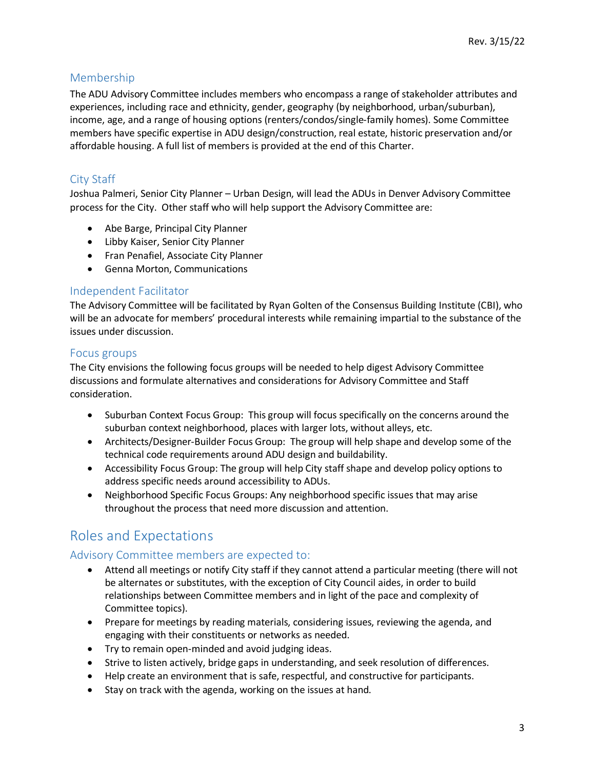### Membership

The ADU Advisory Committee includes members who encompass a range of stakeholder attributes and experiences, including race and ethnicity, gender, geography (by neighborhood, urban/suburban), income, age, and a range of housing options (renters/condos/single-family homes). Some Committee members have specific expertise in ADU design/construction, real estate, historic preservation and/or affordable housing. A full list of members is provided at the end of this Charter.

### City Staff

Joshua Palmeri, Senior City Planner – Urban Design, will lead the ADUs in Denver Advisory Committee process for the City. Other staff who will help support the Advisory Committee are:

- Abe Barge, Principal City Planner
- Libby Kaiser, Senior City Planner
- Fran Penafiel, Associate City Planner
- Genna Morton, Communications

#### Independent Facilitator

The Advisory Committee will be facilitated by Ryan Golten of the Consensus Building Institute (CBI), who will be an advocate for members' procedural interests while remaining impartial to the substance of the issues under discussion.

#### Focus groups

The City envisions the following focus groups will be needed to help digest Advisory Committee discussions and formulate alternatives and considerations for Advisory Committee and Staff consideration.

- Suburban Context Focus Group: This group will focus specifically on the concerns around the suburban context neighborhood, places with larger lots, without alleys, etc.
- Architects/Designer-Builder Focus Group: The group will help shape and develop some of the technical code requirements around ADU design and buildability.
- Accessibility Focus Group: The group will help City staff shape and develop policy options to address specific needs around accessibility to ADUs.
- Neighborhood Specific Focus Groups: Any neighborhood specific issues that may arise throughout the process that need more discussion and attention.

## Roles and Expectations

#### Advisory Committee members are expected to:

- Attend all meetings or notify City staff if they cannot attend a particular meeting (there will not be alternates or substitutes, with the exception of City Council aides, in order to build relationships between Committee members and in light of the pace and complexity of Committee topics).
- Prepare for meetings by reading materials, considering issues, reviewing the agenda, and engaging with their constituents or networks as needed.
- Try to remain open-minded and avoid judging ideas.
- Strive to listen actively, bridge gaps in understanding, and seek resolution of differences.
- Help create an environment that is safe, respectful, and constructive for participants.
- Stay on track with the agenda, working on the issues at hand.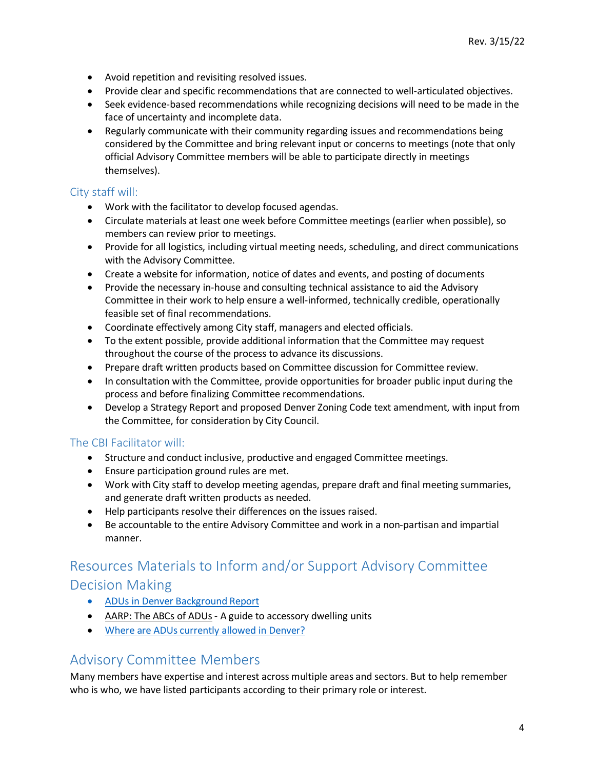- Avoid repetition and revisiting resolved issues.
- Provide clear and specific recommendations that are connected to well-articulated objectives.
- Seek evidence-based recommendations while recognizing decisions will need to be made in the face of uncertainty and incomplete data.
- Regularly communicate with their community regarding issues and recommendations being considered by the Committee and bring relevant input or concerns to meetings (note that only official Advisory Committee members will be able to participate directly in meetings themselves).

#### City staff will:

- Work with the facilitator to develop focused agendas.
- Circulate materials at least one week before Committee meetings (earlier when possible), so members can review prior to meetings.
- Provide for all logistics, including virtual meeting needs, scheduling, and direct communications with the Advisory Committee.
- Create a website for information, notice of dates and events, and posting of documents
- Provide the necessary in-house and consulting technical assistance to aid the Advisory Committee in their work to help ensure a well-informed, technically credible, operationally feasible set of final recommendations.
- Coordinate effectively among City staff, managers and elected officials.
- To the extent possible, provide additional information that the Committee may request throughout the course of the process to advance its discussions.
- Prepare draft written products based on Committee discussion for Committee review.
- In consultation with the Committee, provide opportunities for broader public input during the process and before finalizing Committee recommendations.
- Develop a Strategy Report and proposed Denver Zoning Code text amendment, with input from the Committee, for consideration by City Council.

#### The CBI Facilitator will:

- Structure and conduct inclusive, productive and engaged Committee meetings.
- Ensure participation ground rules are met.
- Work with City staff to develop meeting agendas, prepare draft and final meeting summaries, and generate draft written products as needed.
- Help participants resolve their differences on the issues raised.
- Be accountable to the entire Advisory Committee and work in a non-partisan and impartial manner.

# Resources Materials to Inform and/or Support Advisory Committee

### Decision Making

- [ADUs in Denver Background Report](https://www.denvergov.org/files/assets/public/community-planning-and-development/documents/zoning/text-amendments/adus-in-denver/adu-background-report.pdf)
- [AARP: The ABCs of ADUs](https://www.aarp.org/livable-communities/housing/info-2019/adu-topics.html)  A guide to accessory dwelling units
- [Where are ADUs currently allowed in Denver?](https://denvergov.org/Maps/map/accessorydwellings)

### Advisory Committee Members

Many members have expertise and interest across multiple areas and sectors. But to help remember who is who, we have listed participants according to their primary role or interest.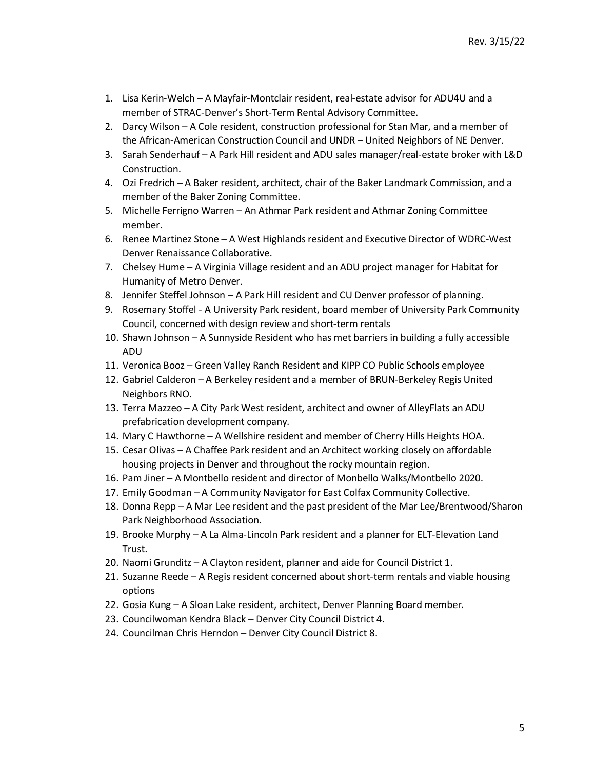- 1. Lisa Kerin-Welch A Mayfair-Montclair resident, real-estate advisor for ADU4U and a member of STRAC-Denver's Short-Term Rental Advisory Committee.
- 2. Darcy Wilson A Cole resident, construction professional for Stan Mar, and a member of the African-American Construction Council and UNDR – United Neighbors of NE Denver.
- 3. Sarah Senderhauf A Park Hill resident and ADU sales manager/real-estate broker with L&D Construction.
- 4. Ozi Fredrich A Baker resident, architect, chair of the Baker Landmark Commission, and a member of the Baker Zoning Committee.
- 5. Michelle Ferrigno Warren An Athmar Park resident and Athmar Zoning Committee member.
- 6. Renee Martinez Stone A West Highlands resident and Executive Director of WDRC-West Denver Renaissance Collaborative.
- 7. Chelsey Hume A Virginia Village resident and an ADU project manager for Habitat for Humanity of Metro Denver.
- 8. Jennifer Steffel Johnson A Park Hill resident and CU Denver professor of planning.
- 9. Rosemary Stoffel A University Park resident, board member of University Park Community Council, concerned with design review and short-term rentals
- 10. Shawn Johnson A Sunnyside Resident who has met barriers in building a fully accessible ADU
- 11. Veronica Booz Green Valley Ranch Resident and KIPP CO Public Schools employee
- 12. Gabriel Calderon A Berkeley resident and a member of BRUN-Berkeley Regis United Neighbors RNO.
- 13. Terra Mazzeo A City Park West resident, architect and owner of AlleyFlats an ADU prefabrication development company.
- 14. Mary C Hawthorne A Wellshire resident and member of Cherry Hills Heights HOA.
- 15. Cesar Olivas A Chaffee Park resident and an Architect working closely on affordable housing projects in Denver and throughout the rocky mountain region.
- 16. Pam Jiner A Montbello resident and director of Monbello Walks/Montbello 2020.
- 17. Emily Goodman A Community Navigator for East Colfax Community Collective.
- 18. Donna Repp A Mar Lee resident and the past president of the Mar Lee/Brentwood/Sharon Park Neighborhood Association.
- 19. Brooke Murphy A La Alma-Lincoln Park resident and a planner for ELT-Elevation Land Trust.
- 20. Naomi Grunditz A Clayton resident, planner and aide for Council District 1.
- 21. Suzanne Reede A Regis resident concerned about short-term rentals and viable housing options
- 22. Gosia Kung A Sloan Lake resident, architect, Denver Planning Board member.
- 23. Councilwoman Kendra Black Denver City Council District 4.
- 24. Councilman Chris Herndon Denver City Council District 8.